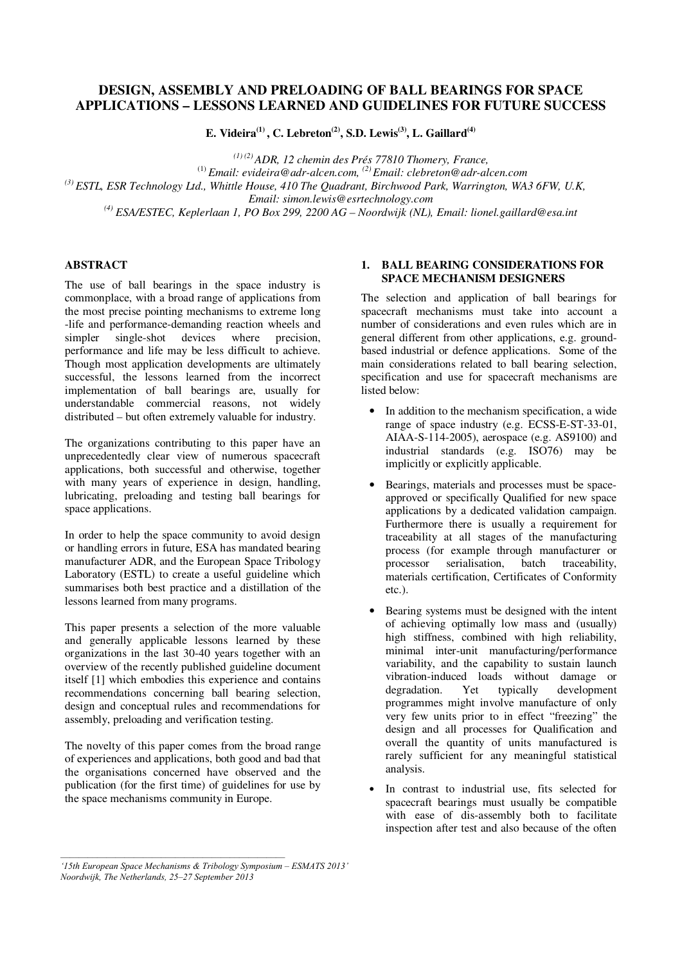# **DESIGN, ASSEMBLY AND PRELOADING OF BALL BEARINGS FOR SPACE APPLICATIONS – LESSONS LEARNED AND GUIDELINES FOR FUTURE SUCCESS**

**E. Videira(1) , C. Lebreton(2), S.D. Lewis(3), L. Gaillard(4)** 

*(1) (2) ADR, 12 chemin des Prés 77810 Thomery, France,*  (1) *Email: evideira@adr-alcen.com, (2) Email: clebreton@adr-alcen.com (3) ESTL, ESR Technology Ltd., Whittle House, 410 The Quadrant, Birchwood Park, Warrington, WA3 6FW, U.K, Email: simon.lewis@esrtechnology.com (4) ESA/ESTEC, Keplerlaan 1, PO Box 299, 2200 AG – Noordwijk (NL), Email: lionel.gaillard@esa.int*

## **ABSTRACT**

The use of ball bearings in the space industry is commonplace, with a broad range of applications from the most precise pointing mechanisms to extreme long -life and performance-demanding reaction wheels and simpler single-shot devices where precision, performance and life may be less difficult to achieve. Though most application developments are ultimately successful, the lessons learned from the incorrect implementation of ball bearings are, usually for understandable commercial reasons, not widely distributed – but often extremely valuable for industry.

The organizations contributing to this paper have an unprecedentedly clear view of numerous spacecraft applications, both successful and otherwise, together with many years of experience in design, handling, lubricating, preloading and testing ball bearings for space applications.

In order to help the space community to avoid design or handling errors in future, ESA has mandated bearing manufacturer ADR, and the European Space Tribology Laboratory (ESTL) to create a useful guideline which summarises both best practice and a distillation of the lessons learned from many programs.

This paper presents a selection of the more valuable and generally applicable lessons learned by these organizations in the last 30-40 years together with an overview of the recently published guideline document itself [1] which embodies this experience and contains recommendations concerning ball bearing selection, design and conceptual rules and recommendations for assembly, preloading and verification testing.

The novelty of this paper comes from the broad range of experiences and applications, both good and bad that the organisations concerned have observed and the publication (for the first time) of guidelines for use by the space mechanisms community in Europe.

## **1. BALL BEARING CONSIDERATIONS FOR SPACE MECHANISM DESIGNERS**

The selection and application of ball bearings for spacecraft mechanisms must take into account a number of considerations and even rules which are in general different from other applications, e.g. groundbased industrial or defence applications. Some of the main considerations related to ball bearing selection, specification and use for spacecraft mechanisms are listed below:

- In addition to the mechanism specification, a wide range of space industry (e.g. ECSS-E-ST-33-01, AIAA-S-114-2005), aerospace (e.g. AS9100) and industrial standards (e.g. ISO76) may be implicitly or explicitly applicable.
- Bearings, materials and processes must be spaceapproved or specifically Qualified for new space applications by a dedicated validation campaign. Furthermore there is usually a requirement for traceability at all stages of the manufacturing process (for example through manufacturer or processor serialisation, batch traceability, materials certification, Certificates of Conformity etc.).
- Bearing systems must be designed with the intent of achieving optimally low mass and (usually) high stiffness, combined with high reliability, minimal inter-unit manufacturing/performance variability, and the capability to sustain launch vibration-induced loads without damage or degradation. Yet typically development programmes might involve manufacture of only very few units prior to in effect "freezing" the design and all processes for Qualification and overall the quantity of units manufactured is rarely sufficient for any meaningful statistical analysis.
- In contrast to industrial use, fits selected for spacecraft bearings must usually be compatible with ease of dis-assembly both to facilitate inspection after test and also because of the often

*<sup>&#</sup>x27;15th European Space Mechanisms & Tribology Symposium – ESMATS 2013' Noordwijk, The Netherlands, 25–27 September 2013*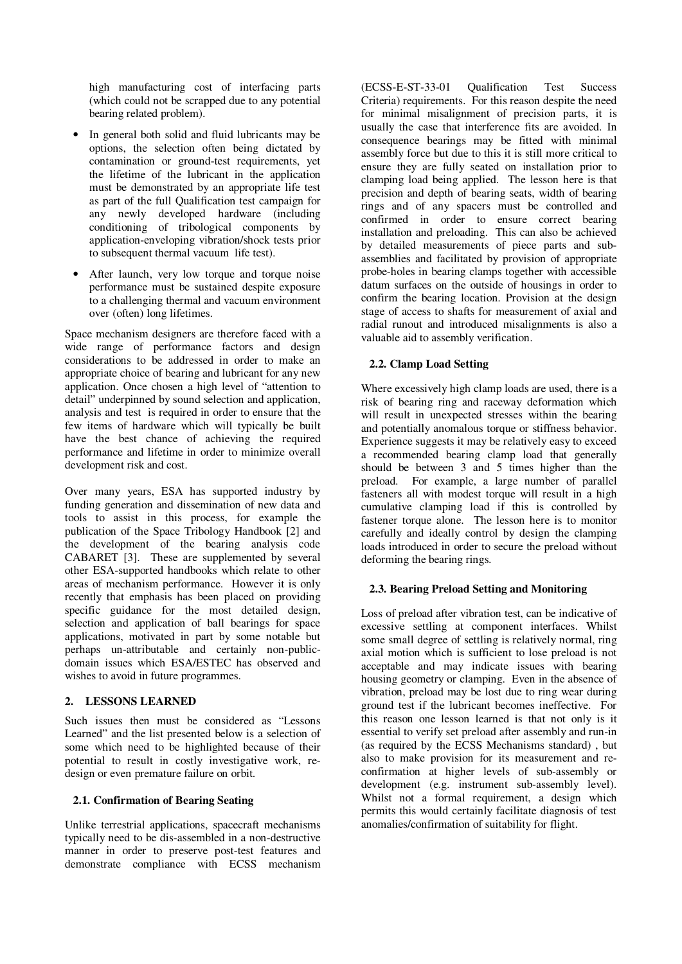high manufacturing cost of interfacing parts (which could not be scrapped due to any potential bearing related problem).

- In general both solid and fluid lubricants may be options, the selection often being dictated by contamination or ground-test requirements, yet the lifetime of the lubricant in the application must be demonstrated by an appropriate life test as part of the full Qualification test campaign for any newly developed hardware (including conditioning of tribological components by application-enveloping vibration/shock tests prior to subsequent thermal vacuum life test).
- After launch, very low torque and torque noise performance must be sustained despite exposure to a challenging thermal and vacuum environment over (often) long lifetimes.

Space mechanism designers are therefore faced with a wide range of performance factors and design considerations to be addressed in order to make an appropriate choice of bearing and lubricant for any new application. Once chosen a high level of "attention to detail" underpinned by sound selection and application, analysis and test is required in order to ensure that the few items of hardware which will typically be built have the best chance of achieving the required performance and lifetime in order to minimize overall development risk and cost.

Over many years, ESA has supported industry by funding generation and dissemination of new data and tools to assist in this process, for example the publication of the Space Tribology Handbook [2] and the development of the bearing analysis code CABARET [3]. These are supplemented by several other ESA-supported handbooks which relate to other areas of mechanism performance. However it is only recently that emphasis has been placed on providing specific guidance for the most detailed design, selection and application of ball bearings for space applications, motivated in part by some notable but perhaps un-attributable and certainly non-publicdomain issues which ESA/ESTEC has observed and wishes to avoid in future programmes.

## **2. LESSONS LEARNED**

Such issues then must be considered as "Lessons Learned" and the list presented below is a selection of some which need to be highlighted because of their potential to result in costly investigative work, redesign or even premature failure on orbit.

## **2.1. Confirmation of Bearing Seating**

Unlike terrestrial applications, spacecraft mechanisms typically need to be dis-assembled in a non-destructive manner in order to preserve post-test features and demonstrate compliance with ECSS mechanism

(ECSS-E-ST-33-01 Qualification Test Success Criteria) requirements. For this reason despite the need for minimal misalignment of precision parts, it is usually the case that interference fits are avoided. In consequence bearings may be fitted with minimal assembly force but due to this it is still more critical to ensure they are fully seated on installation prior to clamping load being applied. The lesson here is that precision and depth of bearing seats, width of bearing rings and of any spacers must be controlled and confirmed in order to ensure correct bearing installation and preloading. This can also be achieved by detailed measurements of piece parts and subassemblies and facilitated by provision of appropriate probe-holes in bearing clamps together with accessible datum surfaces on the outside of housings in order to confirm the bearing location. Provision at the design stage of access to shafts for measurement of axial and radial runout and introduced misalignments is also a valuable aid to assembly verification.

### **2.2. Clamp Load Setting**

Where excessively high clamp loads are used, there is a risk of bearing ring and raceway deformation which will result in unexpected stresses within the bearing and potentially anomalous torque or stiffness behavior. Experience suggests it may be relatively easy to exceed a recommended bearing clamp load that generally should be between 3 and 5 times higher than the preload. For example, a large number of parallel fasteners all with modest torque will result in a high cumulative clamping load if this is controlled by fastener torque alone. The lesson here is to monitor carefully and ideally control by design the clamping loads introduced in order to secure the preload without deforming the bearing rings.

#### **2.3. Bearing Preload Setting and Monitoring**

Loss of preload after vibration test, can be indicative of excessive settling at component interfaces. Whilst some small degree of settling is relatively normal, ring axial motion which is sufficient to lose preload is not acceptable and may indicate issues with bearing housing geometry or clamping. Even in the absence of vibration, preload may be lost due to ring wear during ground test if the lubricant becomes ineffective. For this reason one lesson learned is that not only is it essential to verify set preload after assembly and run-in (as required by the ECSS Mechanisms standard) , but also to make provision for its measurement and reconfirmation at higher levels of sub-assembly or development (e.g. instrument sub-assembly level). Whilst not a formal requirement, a design which permits this would certainly facilitate diagnosis of test anomalies/confirmation of suitability for flight.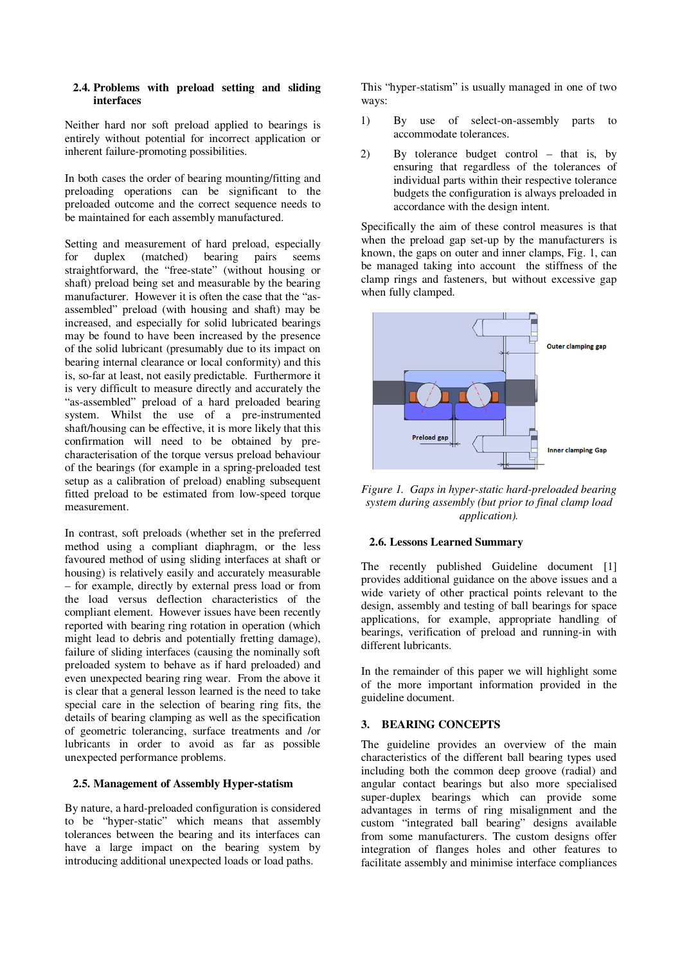#### **2.4. Problems with preload setting and sliding interfaces**

Neither hard nor soft preload applied to bearings is entirely without potential for incorrect application or inherent failure-promoting possibilities.

In both cases the order of bearing mounting/fitting and preloading operations can be significant to the preloaded outcome and the correct sequence needs to be maintained for each assembly manufactured.

Setting and measurement of hard preload, especially for duplex (matched) bearing pairs seems straightforward, the "free-state" (without housing or shaft) preload being set and measurable by the bearing manufacturer. However it is often the case that the "asassembled" preload (with housing and shaft) may be increased, and especially for solid lubricated bearings may be found to have been increased by the presence of the solid lubricant (presumably due to its impact on bearing internal clearance or local conformity) and this is, so-far at least, not easily predictable. Furthermore it is very difficult to measure directly and accurately the "as-assembled" preload of a hard preloaded bearing system. Whilst the use of a pre-instrumented shaft/housing can be effective, it is more likely that this confirmation will need to be obtained by precharacterisation of the torque versus preload behaviour of the bearings (for example in a spring-preloaded test setup as a calibration of preload) enabling subsequent fitted preload to be estimated from low-speed torque measurement.

In contrast, soft preloads (whether set in the preferred method using a compliant diaphragm, or the less favoured method of using sliding interfaces at shaft or housing) is relatively easily and accurately measurable – for example, directly by external press load or from the load versus deflection characteristics of the compliant element. However issues have been recently reported with bearing ring rotation in operation (which might lead to debris and potentially fretting damage), failure of sliding interfaces (causing the nominally soft preloaded system to behave as if hard preloaded) and even unexpected bearing ring wear. From the above it is clear that a general lesson learned is the need to take special care in the selection of bearing ring fits, the details of bearing clamping as well as the specification of geometric tolerancing, surface treatments and /or lubricants in order to avoid as far as possible unexpected performance problems.

## **2.5. Management of Assembly Hyper-statism**

By nature, a hard-preloaded configuration is considered to be "hyper-static" which means that assembly tolerances between the bearing and its interfaces can have a large impact on the bearing system by introducing additional unexpected loads or load paths.

This "hyper-statism" is usually managed in one of two ways:

- 1) By use of select-on-assembly parts to accommodate tolerances.
- 2) By tolerance budget control that is, by ensuring that regardless of the tolerances of individual parts within their respective tolerance budgets the configuration is always preloaded in accordance with the design intent.

Specifically the aim of these control measures is that when the preload gap set-up by the manufacturers is known, the gaps on outer and inner clamps, Fig. 1, can be managed taking into account the stiffness of the clamp rings and fasteners, but without excessive gap when fully clamped.



*Figure 1. Gaps in hyper-static hard-preloaded bearing system during assembly (but prior to final clamp load application).* 

#### **2.6. Lessons Learned Summary**

The recently published Guideline document [1] provides additional guidance on the above issues and a wide variety of other practical points relevant to the design, assembly and testing of ball bearings for space applications, for example, appropriate handling of bearings, verification of preload and running-in with different lubricants.

In the remainder of this paper we will highlight some of the more important information provided in the guideline document.

## **3. BEARING CONCEPTS**

The guideline provides an overview of the main characteristics of the different ball bearing types used including both the common deep groove (radial) and angular contact bearings but also more specialised super-duplex bearings which can provide some advantages in terms of ring misalignment and the custom "integrated ball bearing" designs available from some manufacturers. The custom designs offer integration of flanges holes and other features to facilitate assembly and minimise interface compliances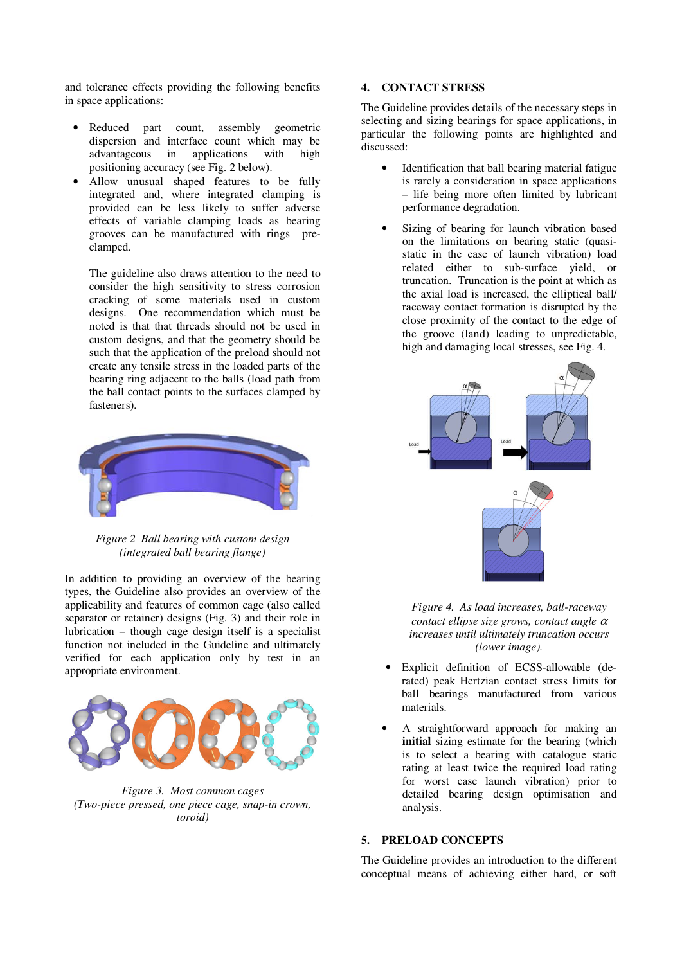and tolerance effects providing the following benefits in space applications:

- Reduced part count, assembly geometric dispersion and interface count which may be advantageous in applications with high positioning accuracy (see Fig. 2 below).
- Allow unusual shaped features to be fully integrated and, where integrated clamping is provided can be less likely to suffer adverse effects of variable clamping loads as bearing grooves can be manufactured with rings preclamped.

The guideline also draws attention to the need to consider the high sensitivity to stress corrosion cracking of some materials used in custom designs. One recommendation which must be noted is that that threads should not be used in custom designs, and that the geometry should be such that the application of the preload should not create any tensile stress in the loaded parts of the bearing ring adjacent to the balls (load path from the ball contact points to the surfaces clamped by fasteners).



*Figure 2 Ball bearing with custom design (integrated ball bearing flange)* 

In addition to providing an overview of the bearing types, the Guideline also provides an overview of the applicability and features of common cage (also called separator or retainer) designs (Fig. 3) and their role in lubrication – though cage design itself is a specialist function not included in the Guideline and ultimately verified for each application only by test in an appropriate environment.



*Figure 3. Most common cages (Two-piece pressed, one piece cage, snap-in crown, toroid)* 

#### **4. CONTACT STRESS**

The Guideline provides details of the necessary steps in selecting and sizing bearings for space applications, in particular the following points are highlighted and discussed:

- Identification that ball bearing material fatigue is rarely a consideration in space applications – life being more often limited by lubricant performance degradation.
- Sizing of bearing for launch vibration based on the limitations on bearing static (quasistatic in the case of launch vibration) load related either to sub-surface yield, or truncation. Truncation is the point at which as the axial load is increased, the elliptical ball/ raceway contact formation is disrupted by the close proximity of the contact to the edge of the groove (land) leading to unpredictable, high and damaging local stresses, see Fig. 4.



*Figure 4. As load increases, ball-raceway contact ellipse size grows, contact angle* <sup>α</sup> *increases until ultimately truncation occurs (lower image).* 

- Explicit definition of ECSS-allowable (derated) peak Hertzian contact stress limits for ball bearings manufactured from various materials.
- A straightforward approach for making an **initial** sizing estimate for the bearing (which is to select a bearing with catalogue static rating at least twice the required load rating for worst case launch vibration) prior to detailed bearing design optimisation and analysis.

## **5. PRELOAD CONCEPTS**

The Guideline provides an introduction to the different conceptual means of achieving either hard, or soft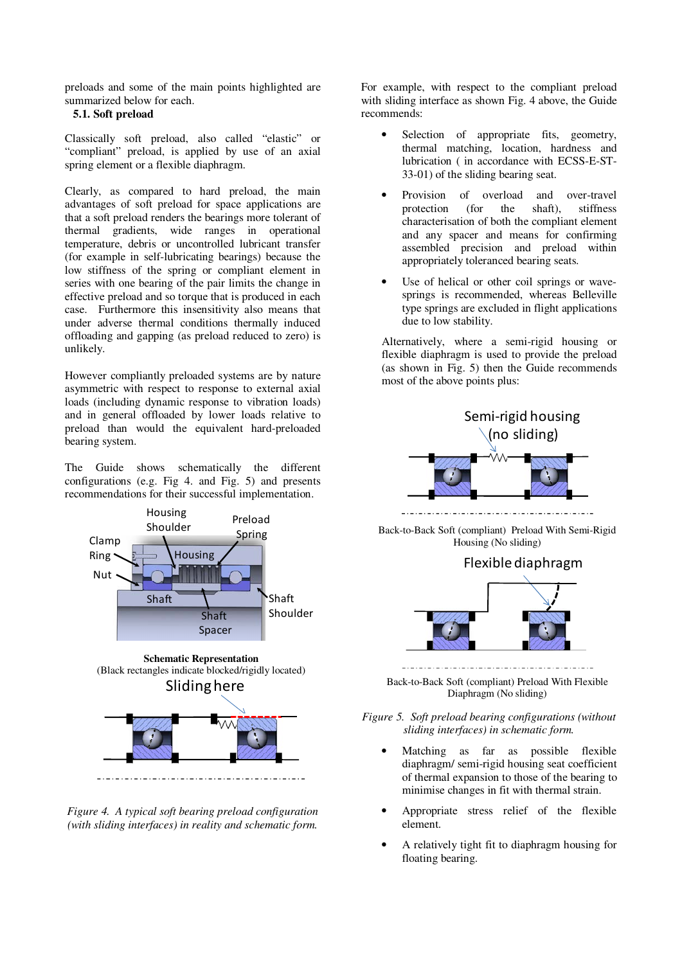preloads and some of the main points highlighted are summarized below for each.

# **5.1. Soft preload**

Classically soft preload, also called "elastic" or "compliant" preload, is applied by use of an axial spring element or a flexible diaphragm.

Clearly, as compared to hard preload, the main advantages of soft preload for space applications are that a soft preload renders the bearings more tolerant of thermal gradients, wide ranges in operational temperature, debris or uncontrolled lubricant transfer (for example in self-lubricating bearings) because the low stiffness of the spring or compliant element in series with one bearing of the pair limits the change in effective preload and so torque that is produced in each case. Furthermore this insensitivity also means that under adverse thermal conditions thermally induced offloading and gapping (as preload reduced to zero) is unlikely.

However compliantly preloaded systems are by nature asymmetric with respect to response to external axial loads (including dynamic response to vibration loads) and in general offloaded by lower loads relative to preload than would the equivalent hard-preloaded bearing system.

The Guide shows schematically the different configurations (e.g. Fig 4. and Fig. 5) and presents recommendations for their successful implementation.



*Figure 4. A typical soft bearing preload configuration (with sliding interfaces) in reality and schematic form.* 

For example, with respect to the compliant preload with sliding interface as shown Fig. 4 above, the Guide recommends:

- Selection of appropriate fits, geometry, thermal matching, location, hardness and lubrication ( in accordance with ECSS-E-ST-33-01) of the sliding bearing seat.
- Provision of overload and over-travel protection (for the shaft), stiffness characterisation of both the compliant element and any spacer and means for confirming assembled precision and preload within appropriately toleranced bearing seats.
- Use of helical or other coil springs or wavesprings is recommended, whereas Belleville type springs are excluded in flight applications due to low stability.

Alternatively, where a semi-rigid housing or flexible diaphragm is used to provide the preload (as shown in Fig. 5) then the Guide recommends most of the above points plus:



Back-to-Back Soft (compliant) Preload With Semi-Rigid Housing (No sliding)

# Flexible diaphragm



Back-to-Back Soft (compliant) Preload With Flexible Diaphragm (No sliding)

## *Figure 5. Soft preload bearing configurations (without sliding interfaces) in schematic form.*

- Matching as far as possible flexible diaphragm/ semi-rigid housing seat coefficient of thermal expansion to those of the bearing to minimise changes in fit with thermal strain.
- Appropriate stress relief of the flexible element.
- A relatively tight fit to diaphragm housing for floating bearing.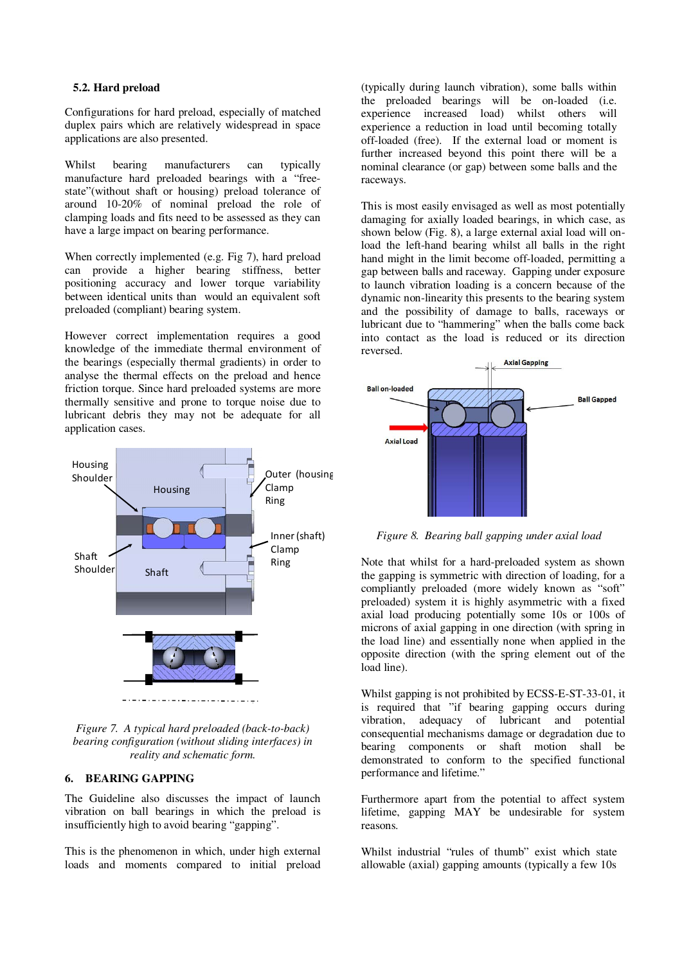## **5.2. Hard preload**

Configurations for hard preload, especially of matched duplex pairs which are relatively widespread in space applications are also presented.

Whilst bearing manufacturers can typically manufacture hard preloaded bearings with a "freestate"(without shaft or housing) preload tolerance of around 10-20% of nominal preload the role of clamping loads and fits need to be assessed as they can have a large impact on bearing performance.

When correctly implemented (e.g. Fig 7), hard preload can provide a higher bearing stiffness, better positioning accuracy and lower torque variability between identical units than would an equivalent soft preloaded (compliant) bearing system.

However correct implementation requires a good knowledge of the immediate thermal environment of the bearings (especially thermal gradients) in order to analyse the thermal effects on the preload and hence friction torque. Since hard preloaded systems are more thermally sensitive and prone to torque noise due to lubricant debris they may not be adequate for all application cases.



*Figure 7. A typical hard preloaded (back-to-back) bearing configuration (without sliding interfaces) in reality and schematic form.* 

## **6. BEARING GAPPING**

The Guideline also discusses the impact of launch vibration on ball bearings in which the preload is insufficiently high to avoid bearing "gapping".

This is the phenomenon in which, under high external loads and moments compared to initial preload

(typically during launch vibration), some balls within the preloaded bearings will be on-loaded (i.e. experience increased load) whilst others will experience a reduction in load until becoming totally off-loaded (free). If the external load or moment is further increased beyond this point there will be a nominal clearance (or gap) between some balls and the raceways.

This is most easily envisaged as well as most potentially damaging for axially loaded bearings, in which case, as shown below (Fig. 8), a large external axial load will onload the left-hand bearing whilst all balls in the right hand might in the limit become off-loaded, permitting a gap between balls and raceway. Gapping under exposure to launch vibration loading is a concern because of the dynamic non-linearity this presents to the bearing system and the possibility of damage to balls, raceways or lubricant due to "hammering" when the balls come back into contact as the load is reduced or its direction reversed.



*Figure 8. Bearing ball gapping under axial load* 

Note that whilst for a hard-preloaded system as shown the gapping is symmetric with direction of loading, for a compliantly preloaded (more widely known as "soft" preloaded) system it is highly asymmetric with a fixed axial load producing potentially some 10s or 100s of microns of axial gapping in one direction (with spring in the load line) and essentially none when applied in the opposite direction (with the spring element out of the load line).

Whilst gapping is not prohibited by ECSS-E-ST-33-01, it is required that "if bearing gapping occurs during vibration, adequacy of lubricant and potential consequential mechanisms damage or degradation due to bearing components or shaft motion shall be demonstrated to conform to the specified functional performance and lifetime."

Furthermore apart from the potential to affect system lifetime, gapping MAY be undesirable for system reasons.

Whilst industrial "rules of thumb" exist which state allowable (axial) gapping amounts (typically a few 10s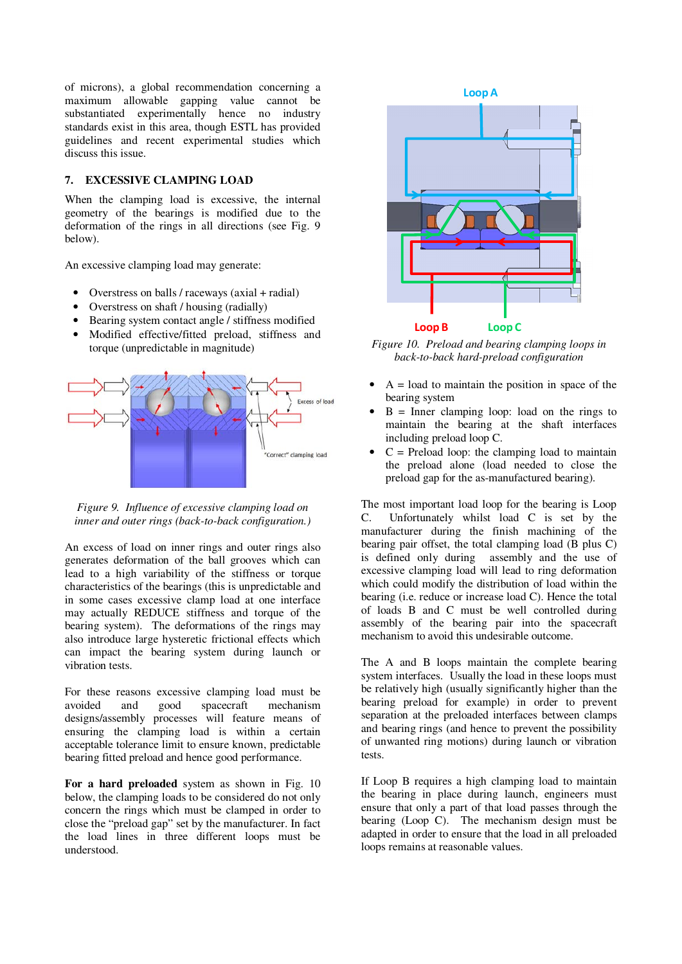of microns), a global recommendation concerning a maximum allowable gapping value cannot be substantiated experimentally hence no industry standards exist in this area, though ESTL has provided guidelines and recent experimental studies which discuss this issue.

# **7. EXCESSIVE CLAMPING LOAD**

When the clamping load is excessive, the internal geometry of the bearings is modified due to the deformation of the rings in all directions (see Fig. 9 below).

An excessive clamping load may generate:

- Overstress on balls / raceways (axial + radial)
- Overstress on shaft / housing (radially)
- Bearing system contact angle / stiffness modified
- Modified effective/fitted preload, stiffness and torque (unpredictable in magnitude)



*Figure 9. Influence of excessive clamping load on inner and outer rings (back-to-back configuration.)* 

An excess of load on inner rings and outer rings also generates deformation of the ball grooves which can lead to a high variability of the stiffness or torque characteristics of the bearings (this is unpredictable and in some cases excessive clamp load at one interface may actually REDUCE stiffness and torque of the bearing system). The deformations of the rings may also introduce large hysteretic frictional effects which can impact the bearing system during launch or vibration tests.

For these reasons excessive clamping load must be avoided and good spacecraft mechanism designs/assembly processes will feature means of ensuring the clamping load is within a certain acceptable tolerance limit to ensure known, predictable bearing fitted preload and hence good performance.

For a hard preloaded system as shown in Fig. 10 below, the clamping loads to be considered do not only concern the rings which must be clamped in order to close the "preload gap" set by the manufacturer. In fact the load lines in three different loops must be understood.



*Figure 10. Preload and bearing clamping loops in back-to-back hard-preload configuration* 

- $A =$ load to maintain the position in space of the bearing system
- $B =$  Inner clamping loop: load on the rings to maintain the bearing at the shaft interfaces including preload loop C.
- $C =$  Preload loop: the clamping load to maintain the preload alone (load needed to close the preload gap for the as-manufactured bearing).

The most important load loop for the bearing is Loop C. Unfortunately whilst load C is set by the manufacturer during the finish machining of the bearing pair offset, the total clamping load (B plus C) is defined only during assembly and the use of excessive clamping load will lead to ring deformation which could modify the distribution of load within the bearing (i.e. reduce or increase load C). Hence the total of loads B and C must be well controlled during assembly of the bearing pair into the spacecraft mechanism to avoid this undesirable outcome.

The A and B loops maintain the complete bearing system interfaces. Usually the load in these loops must be relatively high (usually significantly higher than the bearing preload for example) in order to prevent separation at the preloaded interfaces between clamps and bearing rings (and hence to prevent the possibility of unwanted ring motions) during launch or vibration tests.

If Loop B requires a high clamping load to maintain the bearing in place during launch, engineers must ensure that only a part of that load passes through the bearing (Loop C). The mechanism design must be adapted in order to ensure that the load in all preloaded loops remains at reasonable values.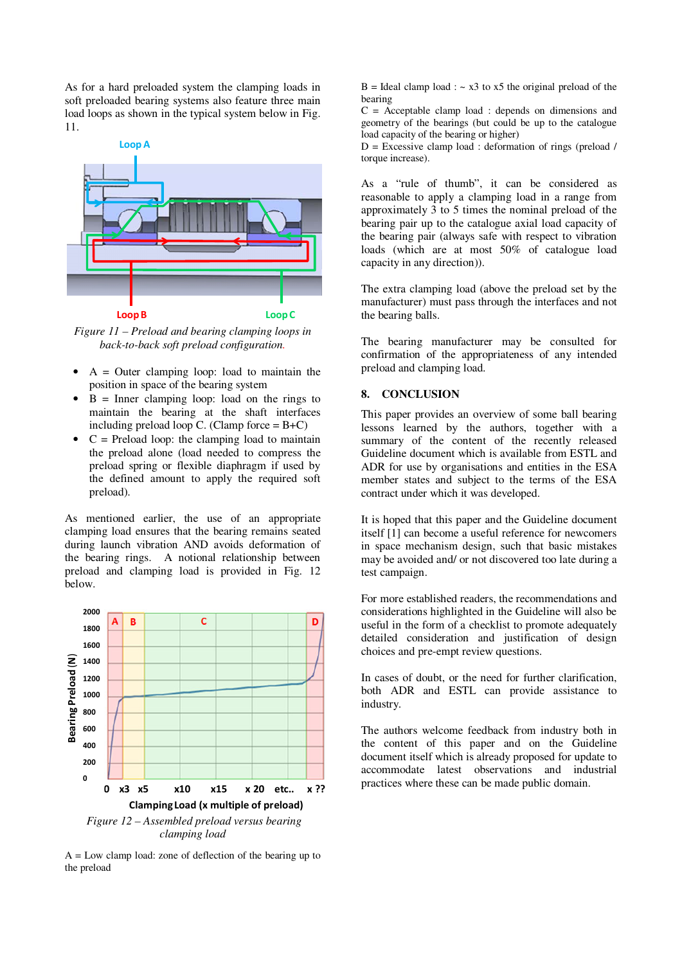As for a hard preloaded system the clamping loads in soft preloaded bearing systems also feature three main load loops as shown in the typical system below in Fig. 11.



*Figure 11 – Preload and bearing clamping loops in back-to-back soft preload configuration.* 

- $A =$  Outer clamping loop: load to maintain the position in space of the bearing system
- $B =$  Inner clamping loop: load on the rings to maintain the bearing at the shaft interfaces including preload loop C. (Clamp force  $= B+C$ )
- $C =$  Preload loop: the clamping load to maintain the preload alone (load needed to compress the preload spring or flexible diaphragm if used by the defined amount to apply the required soft preload).

As mentioned earlier, the use of an appropriate clamping load ensures that the bearing remains seated during launch vibration AND avoids deformation of the bearing rings. A notional relationship between preload and clamping load is provided in Fig. 12 below.



*clamping load* 

 $A = Low$  clamp load: zone of deflection of the bearing up to the preload

 $B =$  Ideal clamp load :  $\sim x3$  to  $x5$  the original preload of the bearing

 $C =$  Acceptable clamp load : depends on dimensions and geometry of the bearings (but could be up to the catalogue load capacity of the bearing or higher)

 $D =$  Excessive clamp load : deformation of rings (preload / torque increase).

As a "rule of thumb", it can be considered as reasonable to apply a clamping load in a range from approximately 3 to 5 times the nominal preload of the bearing pair up to the catalogue axial load capacity of the bearing pair (always safe with respect to vibration loads (which are at most 50% of catalogue load capacity in any direction)).

The extra clamping load (above the preload set by the manufacturer) must pass through the interfaces and not the bearing balls.

The bearing manufacturer may be consulted for confirmation of the appropriateness of any intended preload and clamping load.

## **8. CONCLUSION**

This paper provides an overview of some ball bearing lessons learned by the authors, together with a summary of the content of the recently released Guideline document which is available from ESTL and ADR for use by organisations and entities in the ESA member states and subject to the terms of the ESA contract under which it was developed.

It is hoped that this paper and the Guideline document itself [1] can become a useful reference for newcomers in space mechanism design, such that basic mistakes may be avoided and/ or not discovered too late during a test campaign.

For more established readers, the recommendations and considerations highlighted in the Guideline will also be useful in the form of a checklist to promote adequately detailed consideration and justification of design choices and pre-empt review questions.

In cases of doubt, or the need for further clarification, both ADR and ESTL can provide assistance to industry.

The authors welcome feedback from industry both in the content of this paper and on the Guideline document itself which is already proposed for update to accommodate latest observations and industrial practices where these can be made public domain.